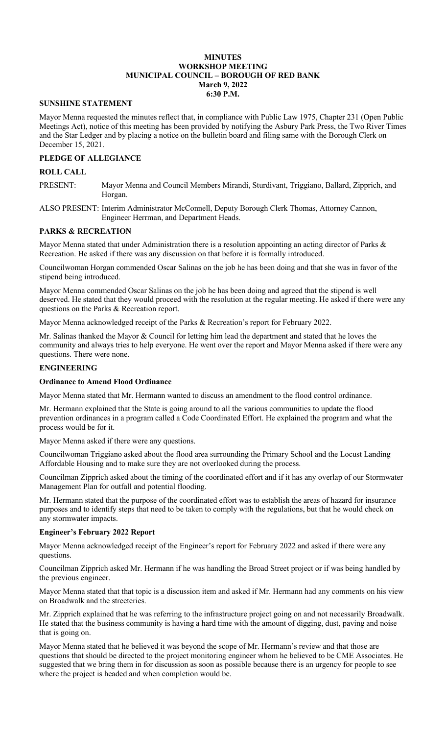### **MINUTES WORKSHOP MEETING MUNICIPAL COUNCIL – BOROUGH OF RED BANK March 9, 2022 6:30 P.M.**

## **SUNSHINE STATEMENT**

Mayor Menna requested the minutes reflect that, in compliance with Public Law 1975, Chapter 231 (Open Public Meetings Act), notice of this meeting has been provided by notifying the Asbury Park Press, the Two River Times and the Star Ledger and by placing a notice on the bulletin board and filing same with the Borough Clerk on December 15, 2021.

## **PLEDGE OF ALLEGIANCE**

### **ROLL CALL**

PRESENT: Mayor Menna and Council Members Mirandi, Sturdivant, Triggiano, Ballard, Zipprich, and Horgan.

ALSO PRESENT: Interim Administrator McConnell, Deputy Borough Clerk Thomas, Attorney Cannon, Engineer Herrman, and Department Heads.

### **PARKS & RECREATION**

Mayor Menna stated that under Administration there is a resolution appointing an acting director of Parks & Recreation. He asked if there was any discussion on that before it is formally introduced.

Councilwoman Horgan commended Oscar Salinas on the job he has been doing and that she was in favor of the stipend being introduced.

Mayor Menna commended Oscar Salinas on the job he has been doing and agreed that the stipend is well deserved. He stated that they would proceed with the resolution at the regular meeting. He asked if there were any questions on the Parks & Recreation report.

Mayor Menna acknowledged receipt of the Parks & Recreation's report for February 2022.

Mr. Salinas thanked the Mayor & Council for letting him lead the department and stated that he loves the community and always tries to help everyone. He went over the report and Mayor Menna asked if there were any questions. There were none.

## **ENGINEERING**

## **Ordinance to Amend Flood Ordinance**

Mayor Menna stated that Mr. Hermann wanted to discuss an amendment to the flood control ordinance.

Mr. Hermann explained that the State is going around to all the various communities to update the flood prevention ordinances in a program called a Code Coordinated Effort. He explained the program and what the process would be for it.

Mayor Menna asked if there were any questions.

Councilwoman Triggiano asked about the flood area surrounding the Primary School and the Locust Landing Affordable Housing and to make sure they are not overlooked during the process.

Councilman Zipprich asked about the timing of the coordinated effort and if it has any overlap of our Stormwater Management Plan for outfall and potential flooding.

Mr. Hermann stated that the purpose of the coordinated effort was to establish the areas of hazard for insurance purposes and to identify steps that need to be taken to comply with the regulations, but that he would check on any stormwater impacts.

## **Engineer's February 2022 Report**

Mayor Menna acknowledged receipt of the Engineer's report for February 2022 and asked if there were any questions.

Councilman Zipprich asked Mr. Hermann if he was handling the Broad Street project or if was being handled by the previous engineer.

Mayor Menna stated that that topic is a discussion item and asked if Mr. Hermann had any comments on his view on Broadwalk and the streeteries.

Mr. Zipprich explained that he was referring to the infrastructure project going on and not necessarily Broadwalk. He stated that the business community is having a hard time with the amount of digging, dust, paving and noise that is going on.

Mayor Menna stated that he believed it was beyond the scope of Mr. Hermann's review and that those are questions that should be directed to the project monitoring engineer whom he believed to be CME Associates. He suggested that we bring them in for discussion as soon as possible because there is an urgency for people to see where the project is headed and when completion would be.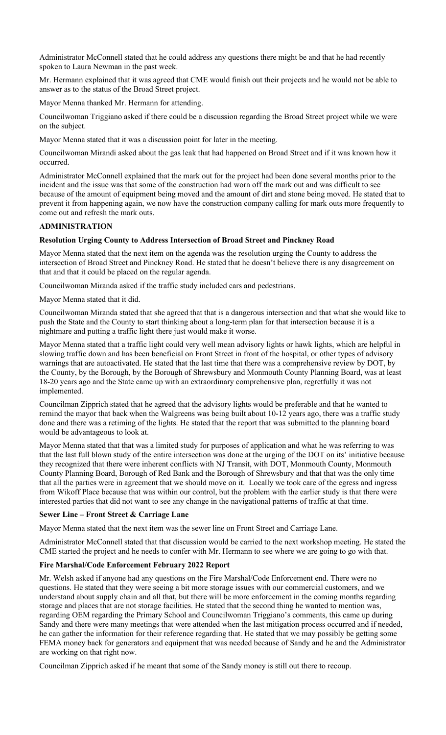Administrator McConnell stated that he could address any questions there might be and that he had recently spoken to Laura Newman in the past week.

Mr. Hermann explained that it was agreed that CME would finish out their projects and he would not be able to answer as to the status of the Broad Street project.

Mayor Menna thanked Mr. Hermann for attending.

Councilwoman Triggiano asked if there could be a discussion regarding the Broad Street project while we were on the subject.

Mayor Menna stated that it was a discussion point for later in the meeting.

Councilwoman Mirandi asked about the gas leak that had happened on Broad Street and if it was known how it occurred.

Administrator McConnell explained that the mark out for the project had been done several months prior to the incident and the issue was that some of the construction had worn off the mark out and was difficult to see because of the amount of equipment being moved and the amount of dirt and stone being moved. He stated that to prevent it from happening again, we now have the construction company calling for mark outs more frequently to come out and refresh the mark outs.

## **ADMINISTRATION**

## **Resolution Urging County to Address Intersection of Broad Street and Pinckney Road**

Mayor Menna stated that the next item on the agenda was the resolution urging the County to address the intersection of Broad Street and Pinckney Road. He stated that he doesn't believe there is any disagreement on that and that it could be placed on the regular agenda.

Councilwoman Miranda asked if the traffic study included cars and pedestrians.

Mayor Menna stated that it did.

Councilwoman Miranda stated that she agreed that that is a dangerous intersection and that what she would like to push the State and the County to start thinking about a long-term plan for that intersection because it is a nightmare and putting a traffic light there just would make it worse.

Mayor Menna stated that a traffic light could very well mean advisory lights or hawk lights, which are helpful in slowing traffic down and has been beneficial on Front Street in front of the hospital, or other types of advisory warnings that are autoactivated. He stated that the last time that there was a comprehensive review by DOT, by the County, by the Borough, by the Borough of Shrewsbury and Monmouth County Planning Board, was at least 18-20 years ago and the State came up with an extraordinary comprehensive plan, regretfully it was not implemented.

Councilman Zipprich stated that he agreed that the advisory lights would be preferable and that he wanted to remind the mayor that back when the Walgreens was being built about 10-12 years ago, there was a traffic study done and there was a retiming of the lights. He stated that the report that was submitted to the planning board would be advantageous to look at.

Mayor Menna stated that that was a limited study for purposes of application and what he was referring to was that the last full blown study of the entire intersection was done at the urging of the DOT on its' initiative because they recognized that there were inherent conflicts with NJ Transit, with DOT, Monmouth County, Monmouth County Planning Board, Borough of Red Bank and the Borough of Shrewsbury and that that was the only time that all the parties were in agreement that we should move on it. Locally we took care of the egress and ingress from Wikoff Place because that was within our control, but the problem with the earlier study is that there were interested parties that did not want to see any change in the navigational patterns of traffic at that time.

#### **Sewer Line – Front Street & Carriage Lane**

Mayor Menna stated that the next item was the sewer line on Front Street and Carriage Lane.

Administrator McConnell stated that that discussion would be carried to the next workshop meeting. He stated the CME started the project and he needs to confer with Mr. Hermann to see where we are going to go with that.

## **Fire Marshal/Code Enforcement February 2022 Report**

Mr. Welsh asked if anyone had any questions on the Fire Marshal/Code Enforcement end. There were no questions. He stated that they were seeing a bit more storage issues with our commercial customers, and we understand about supply chain and all that, but there will be more enforcement in the coming months regarding storage and places that are not storage facilities. He stated that the second thing he wanted to mention was, regarding OEM regarding the Primary School and Councilwoman Triggiano's comments, this came up during Sandy and there were many meetings that were attended when the last mitigation process occurred and if needed, he can gather the information for their reference regarding that. He stated that we may possibly be getting some FEMA money back for generators and equipment that was needed because of Sandy and he and the Administrator are working on that right now.

Councilman Zipprich asked if he meant that some of the Sandy money is still out there to recoup.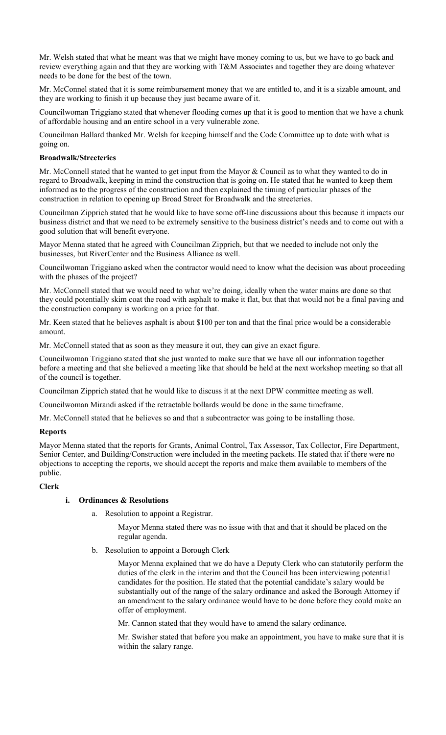Mr. Welsh stated that what he meant was that we might have money coming to us, but we have to go back and review everything again and that they are working with T&M Associates and together they are doing whatever needs to be done for the best of the town.

Mr. McConnel stated that it is some reimbursement money that we are entitled to, and it is a sizable amount, and they are working to finish it up because they just became aware of it.

Councilwoman Triggiano stated that whenever flooding comes up that it is good to mention that we have a chunk of affordable housing and an entire school in a very vulnerable zone.

Councilman Ballard thanked Mr. Welsh for keeping himself and the Code Committee up to date with what is going on.

## **Broadwalk/Streeteries**

Mr. McConnell stated that he wanted to get input from the Mayor & Council as to what they wanted to do in regard to Broadwalk, keeping in mind the construction that is going on. He stated that he wanted to keep them informed as to the progress of the construction and then explained the timing of particular phases of the construction in relation to opening up Broad Street for Broadwalk and the streeteries.

Councilman Zipprich stated that he would like to have some off-line discussions about this because it impacts our business district and that we need to be extremely sensitive to the business district's needs and to come out with a good solution that will benefit everyone.

Mayor Menna stated that he agreed with Councilman Zipprich, but that we needed to include not only the businesses, but RiverCenter and the Business Alliance as well.

Councilwoman Triggiano asked when the contractor would need to know what the decision was about proceeding with the phases of the project?

Mr. McConnell stated that we would need to what we're doing, ideally when the water mains are done so that they could potentially skim coat the road with asphalt to make it flat, but that that would not be a final paving and the construction company is working on a price for that.

Mr. Keen stated that he believes asphalt is about \$100 per ton and that the final price would be a considerable amount.

Mr. McConnell stated that as soon as they measure it out, they can give an exact figure.

Councilwoman Triggiano stated that she just wanted to make sure that we have all our information together before a meeting and that she believed a meeting like that should be held at the next workshop meeting so that all of the council is together.

Councilman Zipprich stated that he would like to discuss it at the next DPW committee meeting as well.

Councilwoman Mirandi asked if the retractable bollards would be done in the same timeframe.

Mr. McConnell stated that he believes so and that a subcontractor was going to be installing those.

# **Reports**

Mayor Menna stated that the reports for Grants, Animal Control, Tax Assessor, Tax Collector, Fire Department, Senior Center, and Building/Construction were included in the meeting packets. He stated that if there were no objections to accepting the reports, we should accept the reports and make them available to members of the public.

## **Clerk**

## **i. Ordinances & Resolutions**

a. Resolution to appoint a Registrar.

Mayor Menna stated there was no issue with that and that it should be placed on the regular agenda.

b. Resolution to appoint a Borough Clerk

Mayor Menna explained that we do have a Deputy Clerk who can statutorily perform the duties of the clerk in the interim and that the Council has been interviewing potential candidates for the position. He stated that the potential candidate's salary would be substantially out of the range of the salary ordinance and asked the Borough Attorney if an amendment to the salary ordinance would have to be done before they could make an offer of employment.

Mr. Cannon stated that they would have to amend the salary ordinance.

Mr. Swisher stated that before you make an appointment, you have to make sure that it is within the salary range.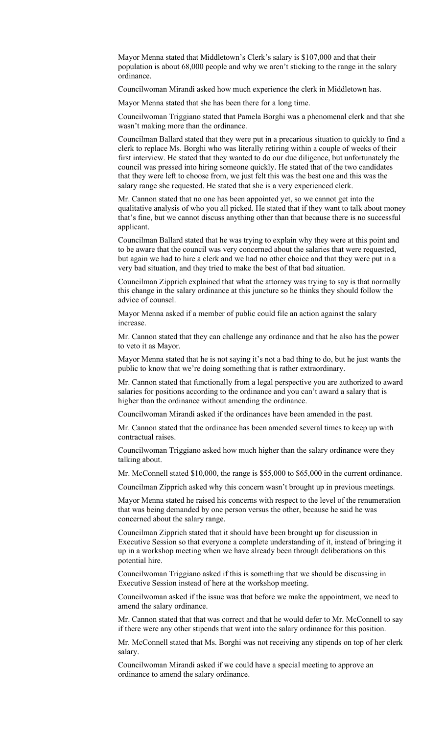Mayor Menna stated that Middletown's Clerk's salary is \$107,000 and that their population is about 68,000 people and why we aren't sticking to the range in the salary ordinance.

Councilwoman Mirandi asked how much experience the clerk in Middletown has.

Mayor Menna stated that she has been there for a long time.

Councilwoman Triggiano stated that Pamela Borghi was a phenomenal clerk and that she wasn't making more than the ordinance.

Councilman Ballard stated that they were put in a precarious situation to quickly to find a clerk to replace Ms. Borghi who was literally retiring within a couple of weeks of their first interview. He stated that they wanted to do our due diligence, but unfortunately the council was pressed into hiring someone quickly. He stated that of the two candidates that they were left to choose from, we just felt this was the best one and this was the salary range she requested. He stated that she is a very experienced clerk.

Mr. Cannon stated that no one has been appointed yet, so we cannot get into the qualitative analysis of who you all picked. He stated that if they want to talk about money that's fine, but we cannot discuss anything other than that because there is no successful applicant.

Councilman Ballard stated that he was trying to explain why they were at this point and to be aware that the council was very concerned about the salaries that were requested, but again we had to hire a clerk and we had no other choice and that they were put in a very bad situation, and they tried to make the best of that bad situation.

Councilman Zipprich explained that what the attorney was trying to say is that normally this change in the salary ordinance at this juncture so he thinks they should follow the advice of counsel.

Mayor Menna asked if a member of public could file an action against the salary increase.

Mr. Cannon stated that they can challenge any ordinance and that he also has the power to veto it as Mayor.

Mayor Menna stated that he is not saying it's not a bad thing to do, but he just wants the public to know that we're doing something that is rather extraordinary.

Mr. Cannon stated that functionally from a legal perspective you are authorized to award salaries for positions according to the ordinance and you can't award a salary that is higher than the ordinance without amending the ordinance.

Councilwoman Mirandi asked if the ordinances have been amended in the past.

Mr. Cannon stated that the ordinance has been amended several times to keep up with contractual raises.

Councilwoman Triggiano asked how much higher than the salary ordinance were they talking about.

Mr. McConnell stated \$10,000, the range is \$55,000 to \$65,000 in the current ordinance.

Councilman Zipprich asked why this concern wasn't brought up in previous meetings.

Mayor Menna stated he raised his concerns with respect to the level of the renumeration that was being demanded by one person versus the other, because he said he was concerned about the salary range.

Councilman Zipprich stated that it should have been brought up for discussion in Executive Session so that everyone a complete understanding of it, instead of bringing it up in a workshop meeting when we have already been through deliberations on this potential hire.

Councilwoman Triggiano asked if this is something that we should be discussing in Executive Session instead of here at the workshop meeting.

Councilwoman asked if the issue was that before we make the appointment, we need to amend the salary ordinance.

Mr. Cannon stated that that was correct and that he would defer to Mr. McConnell to say if there were any other stipends that went into the salary ordinance for this position.

Mr. McConnell stated that Ms. Borghi was not receiving any stipends on top of her clerk salary.

Councilwoman Mirandi asked if we could have a special meeting to approve an ordinance to amend the salary ordinance.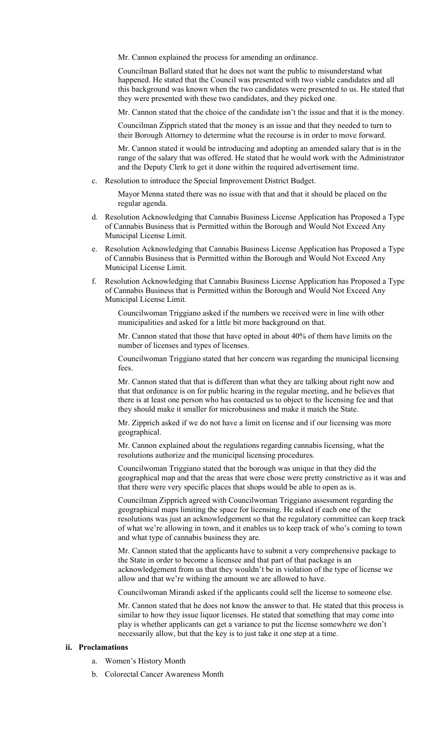Mr. Cannon explained the process for amending an ordinance.

Councilman Ballard stated that he does not want the public to misunderstand what happened. He stated that the Council was presented with two viable candidates and all this background was known when the two candidates were presented to us. He stated that they were presented with these two candidates, and they picked one.

Mr. Cannon stated that the choice of the candidate isn't the issue and that it is the money.

Councilman Zipprich stated that the money is an issue and that they needed to turn to their Borough Attorney to determine what the recourse is in order to move forward.

Mr. Cannon stated it would be introducing and adopting an amended salary that is in the range of the salary that was offered. He stated that he would work with the Administrator and the Deputy Clerk to get it done within the required advertisement time.

c. Resolution to introduce the Special Improvement District Budget.

Mayor Menna stated there was no issue with that and that it should be placed on the regular agenda.

- d. Resolution Acknowledging that Cannabis Business License Application has Proposed a Type of Cannabis Business that is Permitted within the Borough and Would Not Exceed Any Municipal License Limit.
- e. Resolution Acknowledging that Cannabis Business License Application has Proposed a Type of Cannabis Business that is Permitted within the Borough and Would Not Exceed Any Municipal License Limit.
- f. Resolution Acknowledging that Cannabis Business License Application has Proposed a Type of Cannabis Business that is Permitted within the Borough and Would Not Exceed Any Municipal License Limit.

Councilwoman Triggiano asked if the numbers we received were in line with other municipalities and asked for a little bit more background on that.

Mr. Cannon stated that those that have opted in about 40% of them have limits on the number of licenses and types of licenses.

Councilwoman Triggiano stated that her concern was regarding the municipal licensing fees.

Mr. Cannon stated that that is different than what they are talking about right now and that that ordinance is on for public hearing in the regular meeting, and he believes that there is at least one person who has contacted us to object to the licensing fee and that they should make it smaller for microbusiness and make it match the State.

Mr. Zipprich asked if we do not have a limit on license and if our licensing was more geographical.

Mr. Cannon explained about the regulations regarding cannabis licensing, what the resolutions authorize and the municipal licensing procedures.

Councilwoman Triggiano stated that the borough was unique in that they did the geographical map and that the areas that were chose were pretty constrictive as it was and that there were very specific places that shops would be able to open as is.

Councilman Zipprich agreed with Councilwoman Triggiano assessment regarding the geographical maps limiting the space for licensing. He asked if each one of the resolutions was just an acknowledgement so that the regulatory committee can keep track of what we're allowing in town, and it enables us to keep track of who's coming to town and what type of cannabis business they are.

Mr. Cannon stated that the applicants have to submit a very comprehensive package to the State in order to become a licensee and that part of that package is an acknowledgement from us that they wouldn't be in violation of the type of license we allow and that we're withing the amount we are allowed to have.

Councilwoman Mirandi asked if the applicants could sell the license to someone else.

Mr. Cannon stated that he does not know the answer to that. He stated that this process is similar to how they issue liquor licenses. He stated that something that may come into play is whether applicants can get a variance to put the license somewhere we don't necessarily allow, but that the key is to just take it one step at a time.

#### **ii. Proclamations**

- a. Women's History Month
- b. Colorectal Cancer Awareness Month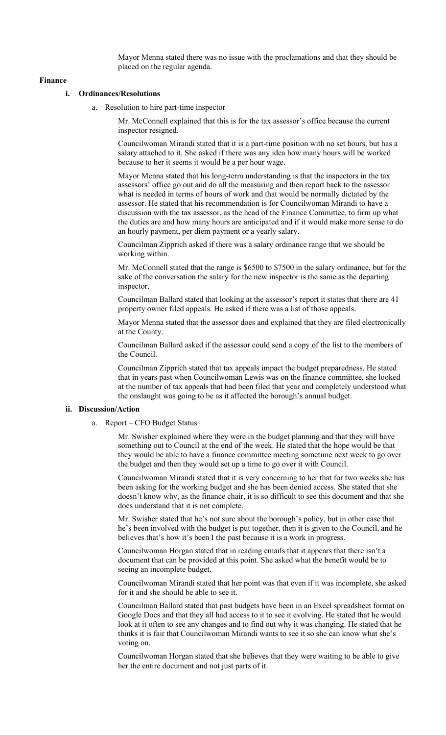Mayor Menna stated there was no issue with the proclamations and that they should be placed on the regular agenda.

#### **Finance**

### **i. Ordinances/Resolutions**

a. Resolution to hire part-time inspector

Mr. McConnell explained that this is for the tax assessor's office because the current inspector resigned.

Councilwoman Mirandi stated that it is a part-time position with no set hours, but has a salary attached to it. She asked if there was any idea how many hours will be worked because to her it seems it would be a per hour wage.

Mayor Menna stated that his long-term understanding is that the inspectors in the tax assessors' office go out and do all the measuring and then report back to the assessor what is needed in terms of hours of work and that would be normally dictated by the assessor. He stated that his recommendation is for Councilwoman Mirandi to have a discussion with the tax assessor, as the head of the Finance Committee, to firm up what the duties are and how many hours are anticipated and if it would make more sense to do an hourly payment, per diem payment or a yearly salary.

Councilman Zipprich asked if there was a salary ordinance range that we should be working within.

Mr. McConnell stated that the range is \$6500 to \$7500 in the salary ordinance, but for the sake of the conversation the salary for the new inspector is the same as the departing inspector.

Councilman Ballard stated that looking at the assessor's report it states that there are 41 property owner filed appeals. He asked if there was a list of those appeals.

Mayor Menna stated that the assessor does and explained that they are filed electronically at the County.

Councilman Ballard asked if the assessor could send a copy of the list to the members of the Council.

Councilman Zipprich stated that tax appeals impact the budget preparedness. He stated that in years past when Councilwoman Lewis was on the finance committee, she looked at the number of tax appeals that had been filed that year and completely understood what the onslaught was going to be as it affected the borough's annual budget.

#### **ii. Discussion/Action**

a. Report – CFO Budget Status

Mr. Swisher explained where they were in the budget planning and that they will have something out to Council at the end of the week. He stated that the hope would be that they would be able to have a finance committee meeting sometime next week to go over the budget and then they would set up a time to go over it with Council.

Councilwoman Mirandi stated that it is very concerning to her that for two weeks she has been asking for the working budget and she has been denied access. She stated that she doesn't know why, as the finance chair, it is so difficult to see this document and that she does understand that it is not complete.

Mr. Swisher stated that he's not sure about the borough's policy, but in other case that he's been involved with the budget is put together, then it is given to the Council, and he believes that's how it's been I the past because it is a work in progress.

Councilwoman Horgan stated that in reading emails that it appears that there isn't a document that can be provided at this point. She asked what the benefit would be to seeing an incomplete budget.

Councilwoman Mirandi stated that her point was that even if it was incomplete, she asked for it and she should be able to see it.

Councilman Ballard stated that past budgets have been in an Excel spreadsheet format on Google Docs and that they all had access to it to see it evolving. He stated that he would look at it often to see any changes and to find out why it was changing. He stated that he thinks it is fair that Councilwoman Mirandi wants to see it so she can know what she's voting on.

Councilwoman Horgan stated that she believes that they were waiting to be able to give her the entire document and not just parts of it.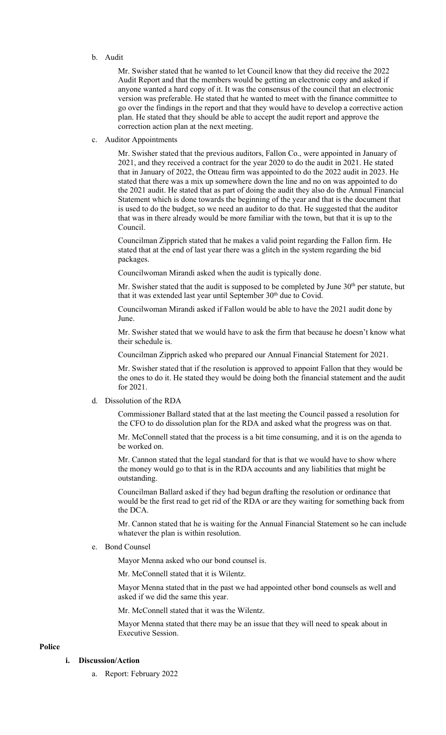#### b. Audit

Mr. Swisher stated that he wanted to let Council know that they did receive the 2022 Audit Report and that the members would be getting an electronic copy and asked if anyone wanted a hard copy of it. It was the consensus of the council that an electronic version was preferable. He stated that he wanted to meet with the finance committee to go over the findings in the report and that they would have to develop a corrective action plan. He stated that they should be able to accept the audit report and approve the correction action plan at the next meeting.

c. Auditor Appointments

Mr. Swisher stated that the previous auditors, Fallon Co., were appointed in January of 2021, and they received a contract for the year 2020 to do the audit in 2021. He stated that in January of 2022, the Otteau firm was appointed to do the 2022 audit in 2023. He stated that there was a mix up somewhere down the line and no on was appointed to do the 2021 audit. He stated that as part of doing the audit they also do the Annual Financial Statement which is done towards the beginning of the year and that is the document that is used to do the budget, so we need an auditor to do that. He suggested that the auditor that was in there already would be more familiar with the town, but that it is up to the Council.

Councilman Zipprich stated that he makes a valid point regarding the Fallon firm. He stated that at the end of last year there was a glitch in the system regarding the bid packages.

Councilwoman Mirandi asked when the audit is typically done.

Mr. Swisher stated that the audit is supposed to be completed by June  $30<sup>th</sup>$  per statute, but that it was extended last year until September 30<sup>th</sup> due to Covid.

Councilwoman Mirandi asked if Fallon would be able to have the 2021 audit done by June.

Mr. Swisher stated that we would have to ask the firm that because he doesn't know what their schedule is.

Councilman Zipprich asked who prepared our Annual Financial Statement for 2021.

Mr. Swisher stated that if the resolution is approved to appoint Fallon that they would be the ones to do it. He stated they would be doing both the financial statement and the audit for 2021.

d. Dissolution of the RDA

Commissioner Ballard stated that at the last meeting the Council passed a resolution for the CFO to do dissolution plan for the RDA and asked what the progress was on that.

Mr. McConnell stated that the process is a bit time consuming, and it is on the agenda to be worked on.

Mr. Cannon stated that the legal standard for that is that we would have to show where the money would go to that is in the RDA accounts and any liabilities that might be outstanding.

Councilman Ballard asked if they had begun drafting the resolution or ordinance that would be the first read to get rid of the RDA or are they waiting for something back from the DCA.

Mr. Cannon stated that he is waiting for the Annual Financial Statement so he can include whatever the plan is within resolution.

e. Bond Counsel

Mayor Menna asked who our bond counsel is.

Mr. McConnell stated that it is Wilentz.

Mayor Menna stated that in the past we had appointed other bond counsels as well and asked if we did the same this year.

Mr. McConnell stated that it was the Wilentz.

Mayor Menna stated that there may be an issue that they will need to speak about in Executive Session.

## **Police**

# **i. Discussion/Action**

a. Report: February 2022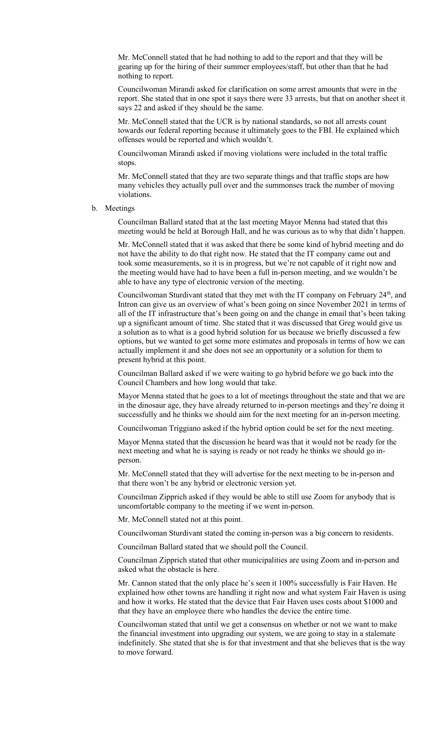Mr. McConnell stated that he had nothing to add to the report and that they will be gearing up for the hiring of their summer employees/staff, but other than that he had nothing to report.

Councilwoman Mirandi asked for clarification on some arrest amounts that were in the report. She stated that in one spot it says there were 33 arrests, but that on another sheet it says 22 and asked if they should be the same.

Mr. McConnell stated that the UCR is by national standards, so not all arrests count towards our federal reporting because it ultimately goes to the FBI. He explained which offenses would be reported and which wouldn't.

Councilwoman Mirandi asked if moving violations were included in the total traffic stops.

Mr. McConnell stated that they are two separate things and that traffic stops are how many vehicles they actually pull over and the summonses track the number of moving violations.

#### b. Meetings

Councilman Ballard stated that at the last meeting Mayor Menna had stated that this meeting would be held at Borough Hall, and he was curious as to why that didn't happen.

Mr. McConnell stated that it was asked that there be some kind of hybrid meeting and do not have the ability to do that right now. He stated that the IT company came out and took some measurements, so it is in progress, but we're not capable of it right now and the meeting would have had to have been a full in-person meeting, and we wouldn't be able to have any type of electronic version of the meeting.

Councilwoman Sturdivant stated that they met with the IT company on February 24<sup>th</sup>, and Intron can give us an overview of what's been going on since November 2021 in terms of all of the IT infrastructure that's been going on and the change in email that's been taking up a significant amount of time. She stated that it was discussed that Greg would give us a solution as to what is a good hybrid solution for us because we briefly discussed a few options, but we wanted to get some more estimates and proposals in terms of how we can actually implement it and she does not see an opportunity or a solution for them to present hybrid at this point.

Councilman Ballard asked if we were waiting to go hybrid before we go back into the Council Chambers and how long would that take.

Mayor Menna stated that he goes to a lot of meetings throughout the state and that we are in the dinosaur age, they have already returned to in-person meetings and they're doing it successfully and he thinks we should aim for the next meeting for an in-person meeting.

Councilwoman Triggiano asked if the hybrid option could be set for the next meeting.

Mayor Menna stated that the discussion he heard was that it would not be ready for the next meeting and what he is saying is ready or not ready he thinks we should go inperson.

Mr. McConnell stated that they will advertise for the next meeting to be in-person and that there won't be any hybrid or electronic version yet.

Councilman Zipprich asked if they would be able to still use Zoom for anybody that is uncomfortable company to the meeting if we went in-person.

Mr. McConnell stated not at this point.

Councilwoman Sturdivant stated the coming in-person was a big concern to residents.

Councilman Ballard stated that we should poll the Council.

Councilman Zipprich stated that other municipalities are using Zoom and in-person and asked what the obstacle is here.

Mr. Cannon stated that the only place he's seen it 100% successfully is Fair Haven. He explained how other towns are handling it right now and what system Fair Haven is using and how it works. He stated that the device that Fair Haven uses costs about \$1000 and that they have an employee there who handles the device the entire time.

Councilwoman stated that until we get a consensus on whether or not we want to make the financial investment into upgrading our system, we are going to stay in a stalemate indefinitely. She stated that she is for that investment and that she believes that is the way to move forward.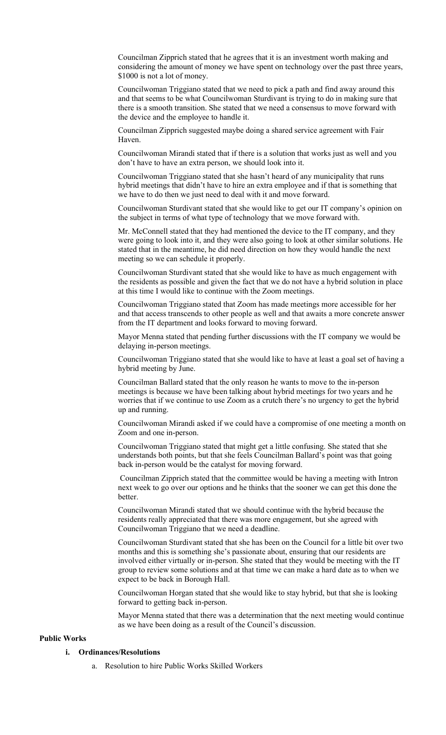Councilman Zipprich stated that he agrees that it is an investment worth making and considering the amount of money we have spent on technology over the past three years, \$1000 is not a lot of money.

Councilwoman Triggiano stated that we need to pick a path and find away around this and that seems to be what Councilwoman Sturdivant is trying to do in making sure that there is a smooth transition. She stated that we need a consensus to move forward with the device and the employee to handle it.

Councilman Zipprich suggested maybe doing a shared service agreement with Fair Haven.

Councilwoman Mirandi stated that if there is a solution that works just as well and you don't have to have an extra person, we should look into it.

Councilwoman Triggiano stated that she hasn't heard of any municipality that runs hybrid meetings that didn't have to hire an extra employee and if that is something that we have to do then we just need to deal with it and move forward.

Councilwoman Sturdivant stated that she would like to get our IT company's opinion on the subject in terms of what type of technology that we move forward with.

Mr. McConnell stated that they had mentioned the device to the IT company, and they were going to look into it, and they were also going to look at other similar solutions. He stated that in the meantime, he did need direction on how they would handle the next meeting so we can schedule it properly.

Councilwoman Sturdivant stated that she would like to have as much engagement with the residents as possible and given the fact that we do not have a hybrid solution in place at this time I would like to continue with the Zoom meetings.

Councilwoman Triggiano stated that Zoom has made meetings more accessible for her and that access transcends to other people as well and that awaits a more concrete answer from the IT department and looks forward to moving forward.

Mayor Menna stated that pending further discussions with the IT company we would be delaying in-person meetings.

Councilwoman Triggiano stated that she would like to have at least a goal set of having a hybrid meeting by June.

Councilman Ballard stated that the only reason he wants to move to the in-person meetings is because we have been talking about hybrid meetings for two years and he worries that if we continue to use Zoom as a crutch there's no urgency to get the hybrid up and running.

Councilwoman Mirandi asked if we could have a compromise of one meeting a month on Zoom and one in-person.

Councilwoman Triggiano stated that might get a little confusing. She stated that she understands both points, but that she feels Councilman Ballard's point was that going back in-person would be the catalyst for moving forward.

 Councilman Zipprich stated that the committee would be having a meeting with Intron next week to go over our options and he thinks that the sooner we can get this done the better.

Councilwoman Mirandi stated that we should continue with the hybrid because the residents really appreciated that there was more engagement, but she agreed with Councilwoman Triggiano that we need a deadline.

Councilwoman Sturdivant stated that she has been on the Council for a little bit over two months and this is something she's passionate about, ensuring that our residents are involved either virtually or in-person. She stated that they would be meeting with the IT group to review some solutions and at that time we can make a hard date as to when we expect to be back in Borough Hall.

Councilwoman Horgan stated that she would like to stay hybrid, but that she is looking forward to getting back in-person.

Mayor Menna stated that there was a determination that the next meeting would continue as we have been doing as a result of the Council's discussion.

# **Public Works**

#### **i. Ordinances/Resolutions**

a. Resolution to hire Public Works Skilled Workers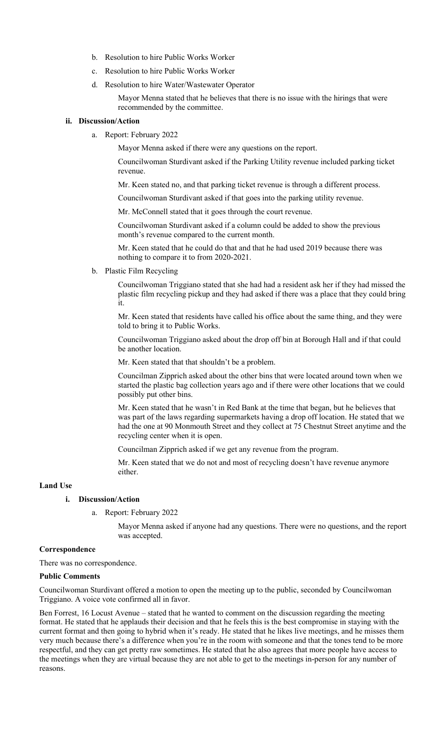- b. Resolution to hire Public Works Worker
- c. Resolution to hire Public Works Worker
- d. Resolution to hire Water/Wastewater Operator

Mayor Menna stated that he believes that there is no issue with the hirings that were recommended by the committee.

#### **ii. Discussion/Action**

a. Report: February 2022

Mayor Menna asked if there were any questions on the report.

Councilwoman Sturdivant asked if the Parking Utility revenue included parking ticket revenue.

Mr. Keen stated no, and that parking ticket revenue is through a different process.

Councilwoman Sturdivant asked if that goes into the parking utility revenue.

Mr. McConnell stated that it goes through the court revenue.

Councilwoman Sturdivant asked if a column could be added to show the previous month's revenue compared to the current month.

Mr. Keen stated that he could do that and that he had used 2019 because there was nothing to compare it to from 2020-2021.

b. Plastic Film Recycling

Councilwoman Triggiano stated that she had had a resident ask her if they had missed the plastic film recycling pickup and they had asked if there was a place that they could bring it.

Mr. Keen stated that residents have called his office about the same thing, and they were told to bring it to Public Works.

Councilwoman Triggiano asked about the drop off bin at Borough Hall and if that could be another location.

Mr. Keen stated that that shouldn't be a problem.

Councilman Zipprich asked about the other bins that were located around town when we started the plastic bag collection years ago and if there were other locations that we could possibly put other bins.

Mr. Keen stated that he wasn't in Red Bank at the time that began, but he believes that was part of the laws regarding supermarkets having a drop off location. He stated that we had the one at 90 Monmouth Street and they collect at 75 Chestnut Street anytime and the recycling center when it is open.

Councilman Zipprich asked if we get any revenue from the program.

Mr. Keen stated that we do not and most of recycling doesn't have revenue anymore either.

### **Land Use**

#### **i. Discussion/Action**

a. Report: February 2022

Mayor Menna asked if anyone had any questions. There were no questions, and the report was accepted.

#### **Correspondence**

There was no correspondence.

## **Public Comments**

Councilwoman Sturdivant offered a motion to open the meeting up to the public, seconded by Councilwoman Triggiano. A voice vote confirmed all in favor.

Ben Forrest, 16 Locust Avenue – stated that he wanted to comment on the discussion regarding the meeting format. He stated that he applauds their decision and that he feels this is the best compromise in staying with the current format and then going to hybrid when it's ready. He stated that he likes live meetings, and he misses them very much because there's a difference when you're in the room with someone and that the tones tend to be more respectful, and they can get pretty raw sometimes. He stated that he also agrees that more people have access to the meetings when they are virtual because they are not able to get to the meetings in-person for any number of reasons.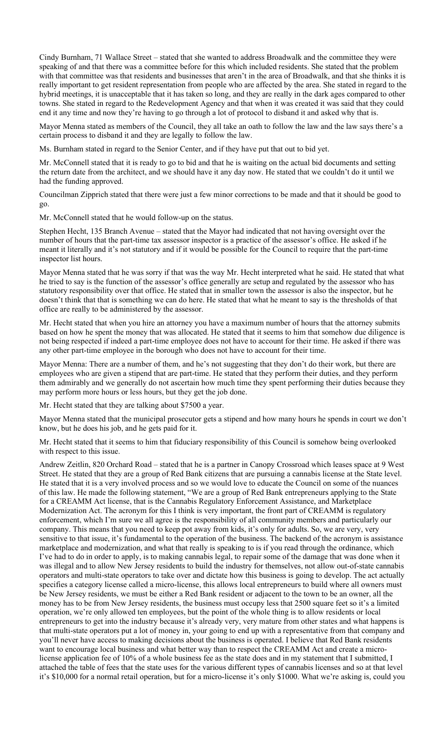Cindy Burnham, 71 Wallace Street – stated that she wanted to address Broadwalk and the committee they were speaking of and that there was a committee before for this which included residents. She stated that the problem with that committee was that residents and businesses that aren't in the area of Broadwalk, and that she thinks it is really important to get resident representation from people who are affected by the area. She stated in regard to the hybrid meetings, it is unacceptable that it has taken so long, and they are really in the dark ages compared to other towns. She stated in regard to the Redevelopment Agency and that when it was created it was said that they could end it any time and now they're having to go through a lot of protocol to disband it and asked why that is.

Mayor Menna stated as members of the Council, they all take an oath to follow the law and the law says there's a certain process to disband it and they are legally to follow the law.

Ms. Burnham stated in regard to the Senior Center, and if they have put that out to bid yet.

Mr. McConnell stated that it is ready to go to bid and that he is waiting on the actual bid documents and setting the return date from the architect, and we should have it any day now. He stated that we couldn't do it until we had the funding approved.

Councilman Zipprich stated that there were just a few minor corrections to be made and that it should be good to go.

Mr. McConnell stated that he would follow-up on the status.

Stephen Hecht, 135 Branch Avenue – stated that the Mayor had indicated that not having oversight over the number of hours that the part-time tax assessor inspector is a practice of the assessor's office. He asked if he meant it literally and it's not statutory and if it would be possible for the Council to require that the part-time inspector list hours.

Mayor Menna stated that he was sorry if that was the way Mr. Hecht interpreted what he said. He stated that what he tried to say is the function of the assessor's office generally are setup and regulated by the assessor who has statutory responsibility over that office. He stated that in smaller town the assessor is also the inspector, but he doesn't think that that is something we can do here. He stated that what he meant to say is the thresholds of that office are really to be administered by the assessor.

Mr. Hecht stated that when you hire an attorney you have a maximum number of hours that the attorney submits based on how he spent the money that was allocated. He stated that it seems to him that somehow due diligence is not being respected if indeed a part-time employee does not have to account for their time. He asked if there was any other part-time employee in the borough who does not have to account for their time.

Mayor Menna: There are a number of them, and he's not suggesting that they don't do their work, but there are employees who are given a stipend that are part-time. He stated that they perform their duties, and they perform them admirably and we generally do not ascertain how much time they spent performing their duties because they may perform more hours or less hours, but they get the job done.

Mr. Hecht stated that they are talking about \$7500 a year.

Mayor Menna stated that the municipal prosecutor gets a stipend and how many hours he spends in court we don't know, but he does his job, and he gets paid for it.

Mr. Hecht stated that it seems to him that fiduciary responsibility of this Council is somehow being overlooked with respect to this issue.

Andrew Zeitlin, 820 Orchard Road – stated that he is a partner in Canopy Crossroad which leases space at 9 West Street. He stated that they are a group of Red Bank citizens that are pursuing a cannabis license at the State level. He stated that it is a very involved process and so we would love to educate the Council on some of the nuances of this law. He made the following statement, "We are a group of Red Bank entrepreneurs applying to the State for a CREAMM Act license, that is the Cannabis Regulatory Enforcement Assistance, and Marketplace Modernization Act. The acronym for this I think is very important, the front part of CREAMM is regulatory enforcement, which I'm sure we all agree is the responsibility of all community members and particularly our company. This means that you need to keep pot away from kids, it's only for adults. So, we are very, very sensitive to that issue, it's fundamental to the operation of the business. The backend of the acronym is assistance marketplace and modernization, and what that really is speaking to is if you read through the ordinance, which I've had to do in order to apply, is to making cannabis legal, to repair some of the damage that was done when it was illegal and to allow New Jersey residents to build the industry for themselves, not allow out-of-state cannabis operators and multi-state operators to take over and dictate how this business is going to develop. The act actually specifies a category license called a micro-license, this allows local entrepreneurs to build where all owners must be New Jersey residents, we must be either a Red Bank resident or adjacent to the town to be an owner, all the money has to be from New Jersey residents, the business must occupy less that 2500 square feet so it's a limited operation, we're only allowed ten employees, but the point of the whole thing is to allow residents or local entrepreneurs to get into the industry because it's already very, very mature from other states and what happens is that multi-state operators put a lot of money in, your going to end up with a representative from that company and you'll never have access to making decisions about the business is operated. I believe that Red Bank residents want to encourage local business and what better way than to respect the CREAMM Act and create a microlicense application fee of 10% of a whole business fee as the state does and in my statement that I submitted, I attached the table of fees that the state uses for the various different types of cannabis licenses and so at that level it's \$10,000 for a normal retail operation, but for a micro-license it's only \$1000. What we're asking is, could you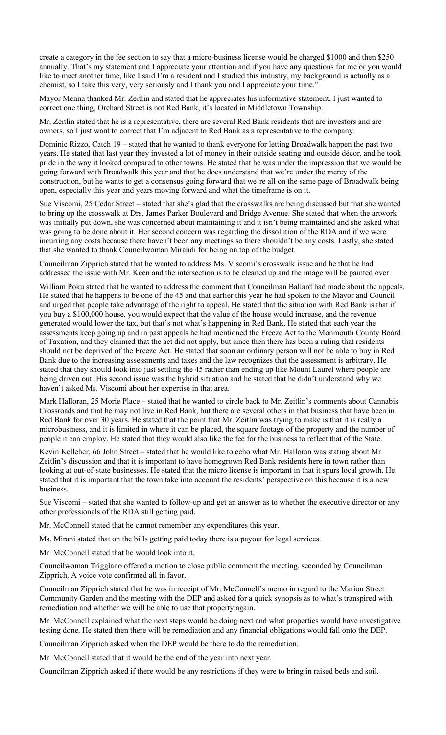create a category in the fee section to say that a micro-business license would be charged \$1000 and then \$250 annually. That's my statement and I appreciate your attention and if you have any questions for me or you would like to meet another time, like I said I'm a resident and I studied this industry, my background is actually as a chemist, so I take this very, very seriously and I thank you and I appreciate your time."

Mayor Menna thanked Mr. Zeitlin and stated that he appreciates his informative statement, I just wanted to correct one thing, Orchard Street is not Red Bank, it's located in Middletown Township.

Mr. Zeitlin stated that he is a representative, there are several Red Bank residents that are investors and are owners, so I just want to correct that I'm adjacent to Red Bank as a representative to the company.

Dominic Rizzo, Catch 19 – stated that he wanted to thank everyone for letting Broadwalk happen the past two years. He stated that last year they invested a lot of money in their outside seating and outside décor, and he took pride in the way it looked compared to other towns. He stated that he was under the impression that we would be going forward with Broadwalk this year and that he does understand that we're under the mercy of the construction, but he wants to get a consensus going forward that we're all on the same page of Broadwalk being open, especially this year and years moving forward and what the timeframe is on it.

Sue Viscomi, 25 Cedar Street – stated that she's glad that the crosswalks are being discussed but that she wanted to bring up the crosswalk at Drs. James Parker Boulevard and Bridge Avenue. She stated that when the artwork was initially put down, she was concerned about maintaining it and it isn't being maintained and she asked what was going to be done about it. Her second concern was regarding the dissolution of the RDA and if we were incurring any costs because there haven't been any meetings so there shouldn't be any costs. Lastly, she stated that she wanted to thank Councilwoman Mirandi for being on top of the budget.

Councilman Zipprich stated that he wanted to address Ms. Viscomi's crosswalk issue and he that he had addressed the issue with Mr. Keen and the intersection is to be cleaned up and the image will be painted over.

William Poku stated that he wanted to address the comment that Councilman Ballard had made about the appeals. He stated that he happens to be one of the 45 and that earlier this year he had spoken to the Mayor and Council and urged that people take advantage of the right to appeal. He stated that the situation with Red Bank is that if you buy a \$100,000 house, you would expect that the value of the house would increase, and the revenue generated would lower the tax, but that's not what's happening in Red Bank. He stated that each year the assessments keep going up and in past appeals he had mentioned the Freeze Act to the Monmouth County Board of Taxation, and they claimed that the act did not apply, but since then there has been a ruling that residents should not be deprived of the Freeze Act. He stated that soon an ordinary person will not be able to buy in Red Bank due to the increasing assessments and taxes and the law recognizes that the assessment is arbitrary. He stated that they should look into just settling the 45 rather than ending up like Mount Laurel where people are being driven out. His second issue was the hybrid situation and he stated that he didn't understand why we haven't asked Ms. Viscomi about her expertise in that area.

Mark Halloran, 25 Morie Place – stated that he wanted to circle back to Mr. Zeitlin's comments about Cannabis Crossroads and that he may not live in Red Bank, but there are several others in that business that have been in Red Bank for over 30 years. He stated that the point that Mr. Zeitlin was trying to make is that it is really a microbusiness, and it is limited in where it can be placed, the square footage of the property and the number of people it can employ. He stated that they would also like the fee for the business to reflect that of the State.

Kevin Kelleher, 66 John Street – stated that he would like to echo what Mr. Halloran was stating about Mr. Zeitlin's discussion and that it is important to have homegrown Red Bank residents here in town rather than looking at out-of-state businesses. He stated that the micro license is important in that it spurs local growth. He stated that it is important that the town take into account the residents' perspective on this because it is a new business.

Sue Viscomi – stated that she wanted to follow-up and get an answer as to whether the executive director or any other professionals of the RDA still getting paid.

Mr. McConnell stated that he cannot remember any expenditures this year.

Ms. Mirani stated that on the bills getting paid today there is a payout for legal services.

Mr. McConnell stated that he would look into it.

Councilwoman Triggiano offered a motion to close public comment the meeting, seconded by Councilman Zipprich. A voice vote confirmed all in favor.

Councilman Zipprich stated that he was in receipt of Mr. McConnell's memo in regard to the Marion Street Community Garden and the meeting with the DEP and asked for a quick synopsis as to what's transpired with remediation and whether we will be able to use that property again.

Mr. McConnell explained what the next steps would be doing next and what properties would have investigative testing done. He stated then there will be remediation and any financial obligations would fall onto the DEP.

Councilman Zipprich asked when the DEP would be there to do the remediation.

Mr. McConnell stated that it would be the end of the year into next year.

Councilman Zipprich asked if there would be any restrictions if they were to bring in raised beds and soil.